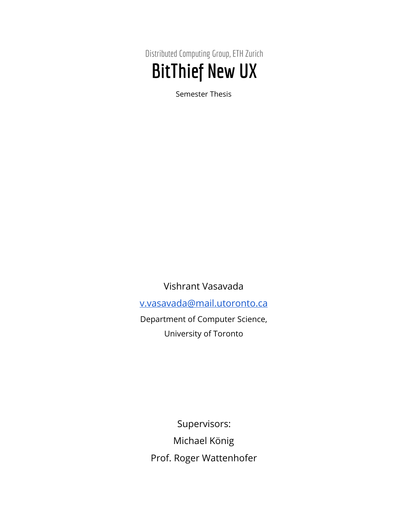Distributed Computing Group, ETH Zurich BitThief New UX

Semester Thesis

Vishrant Vasavada [v.vasavada@mail.utoronto.ca](mailto:v.vasavada@mail.utoronto.ca) Department of Computer Science, University of Toronto

Supervisors: Michael König Prof. Roger Wattenhofer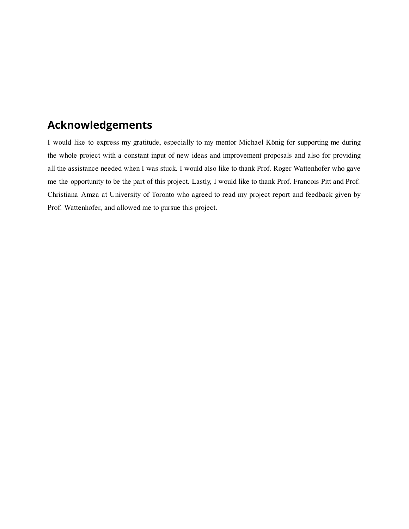# Acknowledgements

I would like to express my gratitude, especially to my mentor Michael König for supporting me during the whole project with a constant input of new ideas and improvement proposals and also for providing all the assistance needed when I was stuck. I would also like to thank Prof. Roger Wattenhofer who gave me the opportunity to be the part of this project. Lastly, I would like to thank Prof. Francois Pitt and Prof. Christiana Amza at University of Toronto who agreed to read my project report and feedback given by Prof. Wattenhofer, and allowed me to pursue this project.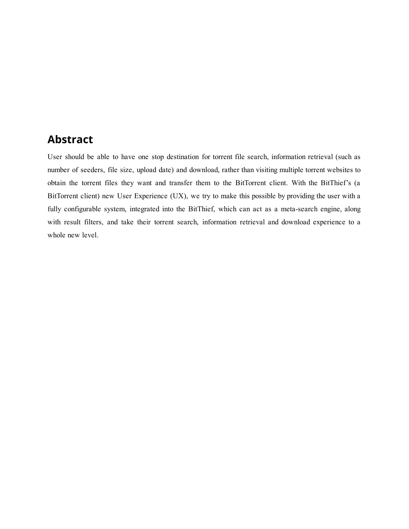## Abstract

User should be able to have one stop destination for torrent file search, information retrieval (such as number of seeders, file size, upload date) and download, rather than visiting multiple torrent websites to obtain the torrent files they want and transfer them to the BitTorrent client. With the BitThief's (a BitTorrent client) new User Experience (UX), we try to make this possible by providing the user with a fully configurable system, integrated into the BitThief, which can act as a meta-search engine, along with result filters, and take their torrent search, information retrieval and download experience to a whole new level.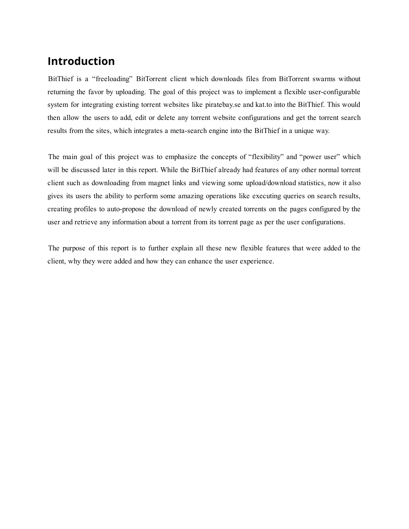## Introduction

BitThief is a "freeloading" BitTorrent client which downloads files from BitTorrent swarms without returning the favor by uploading. The goal of this project was to implement a flexible user-configurable system for integrating existing torrent websites like piratebay.se and kat.to into the BitThief. This would then allow the users to add, edit or delete any torrent website configurations and get the torrent search results from the sites, which integrates a meta-search engine into the BitThief in a unique way.

The main goal of this project was to emphasize the concepts of "flexibility" and "power user" which will be discussed later in this report. While the BitThief already had features of any other normal torrent client such as downloading from magnet links and viewing some upload/download statistics, now it also gives its users the ability to perform some amazing operations like executing queries on search results, creating profiles to auto-propose the download of newly created torrents on the pages configured by the user and retrieve any information about a torrent from its torrent page as per the user configurations.

The purpose of this report is to further explain all these new flexible features that were added to the client, why they were added and how they can enhance the user experience.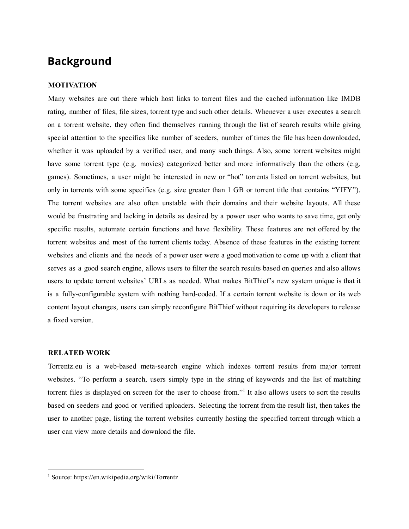### Background

### MOTIVATION

Many websites are out there which host links to torrent files and the cached information like IMDB rating, number of files, file sizes, torrent type and such other details. Whenever a user executes a search on a torrent website, they often find themselves running through the list of search results while giving special attention to the specifics like number of seeders, number of times the file has been downloaded, whether it was uploaded by a verified user, and many such things. Also, some torrent websites might have some torrent type (e.g. movies) categorized better and more informatively than the others (e.g. games). Sometimes, a user might be interested in new or "hot" torrents listed on torrent websites, but only in torrents with some specifics (e.g. size greater than 1 GB or torrent title that contains "YIFY"). The torrent websites are also often unstable with their domains and their website layouts. All these would be frustrating and lacking in details as desired by a power user who wants to save time, get only specific results, automate certain functions and have flexibility. These features are not offered by the torrent websites and most of the torrent clients today. Absence of these features in the existing torrent websites and clients and the needs of a power user were a good motivation to come up with a client that serves as a good search engine, allows users to filter the search results based on queries and also allows users to update torrent websites' URLs as needed. What makes BitThief's new system unique is that it is a fully-configurable system with nothing hard-coded. If a certain torrent website is down or its web content layout changes, users can simply reconfigure BitThief without requiring its developers to release a fixed version.

#### RELATED WORK

Torrentz.eu is a web-based meta-search engine which indexes torrent results from major torrent websites. "To perform a search, users simply type in the string of keywords and the list of matching torrent files is displayed on screen for the user to choose from."<sup>1</sup> It also allows users to sort the results based on seeders and good or verified uploaders. Selecting the torrent from the result list, then takes the user to another page, listing the torrent websites currently hosting the specified torrent through which a user can view more details and download the file.

<sup>1</sup> Source: https://en.wikipedia.org/wiki/Torrentz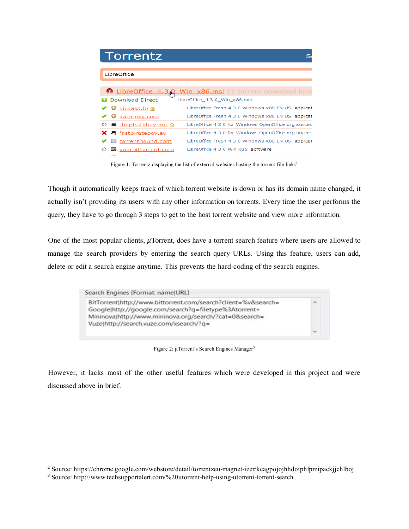| Torrentz                                 |                                                     |
|------------------------------------------|-----------------------------------------------------|
| <b>LibreOffice</b>                       |                                                     |
| n LibreOffice 4.3.0                      | Win x86.msi 11 torrent download loca                |
| <b>Download Direct</b>                   | LibreOffice_4.3.0_Win_x86.msi                       |
| <b>O</b> kickass.to a                    | LibreOffice Fresh 4 3 0 Windows x86 EN US applicat  |
| katproxy.com                             | LibreOffice Fresh 4 3 0 Windows x86 EN US applicat  |
| ○ 昌 thepiratebay.org A                   | LibreOffice 4 3 0 for Windows OpenOffice org succes |
| $\times$ $\blacksquare$ fastpiratebay.eu | LibreOffice 4 3 0 for Windows OpenOffice org succes |
| 国 torrenthound.com                       | LibreOffice Fresh 4 3 0 Windows x86 EN US applicat  |
| w yourbittorrent.com                     | LibreOffice 4.3.0 Win x86 software                  |

Figure 1: Torrentz displaying the list of external websites hosting the torrent file links<sup>2</sup>

Though it automatically keeps track of which torrent website is down or has its domain name changed, it actually isn't providing its users with any other information on torrents. Every time the user performs the query, they have to go through 3 steps to get to the host torrent website and view more information.

One of the most popular clients,  $\mu$ Torrent, does have a torrent search feature where users are allowed to manage the search providers by entering the search query URLs. Using this feature, users can add, delete or edit a search engine anytime. This prevents the hard-coding of the search engines.



Figure 2: μTorrent's Search Engines Manager<sup>3</sup>

However, it lacks most of the other useful features which were developed in this project and were discussed above in brief.

<sup>&</sup>lt;sup>2</sup> Source: https://chrome.google.com/webstore/detail/torrentzeu-magnet-izer/kcagpojojhhdoiphfpmipackjjchlboj

<sup>&</sup>lt;sup>3</sup> Source: http://www.techsupportalert.com/%20utorrent-help-using-utorrent-torrent-search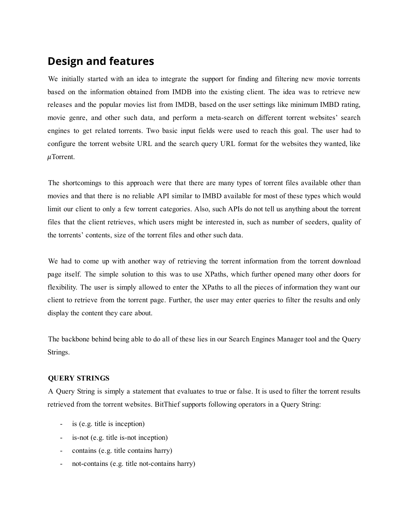## Design and features

We initially started with an idea to integrate the support for finding and filtering new movie torrents based on the information obtained from IMDB into the existing client. The idea was to retrieve new releases and the popular movies list from IMDB, based on the user settings like minimum IMBD rating, movie genre, and other such data, and perform a meta-search on different torrent websites' search engines to get related torrents. Two basic input fields were used to reach this goal. The user had to configure the torrent website URL and the search query URL format for the websites they wanted, like  $\mu$ Torrent.

The shortcomings to this approach were that there are many types of torrent files available other than movies and that there is no reliable API similar to IMBD available for most of these types which would limit our client to only a few torrent categories. Also, such APIs do not tell us anything about the torrent files that the client retrieves, which users might be interested in, such as number of seeders, quality of the torrents' contents, size of the torrent files and other such data.

We had to come up with another way of retrieving the torrent information from the torrent download page itself. The simple solution to this was to use XPaths, which further opened many other doors for flexibility. The user is simply allowed to enter the XPaths to all the pieces of information they want our client to retrieve from the torrent page. Further, the user may enter queries to filter the results and only display the content they care about.

The backbone behind being able to do all of these lies in our Search Engines Manager tool and the Query Strings.

### QUERY STRINGS

A Query String is simply a statement that evaluates to true or false. It is used to filter the torrent results retrieved from the torrent websites. BitThief supports following operators in a Query String:

- is (e.g. title is inception)
- is-not (e.g. title is-not inception)
- contains (e.g. title contains harry)
- not-contains (e.g. title not-contains harry)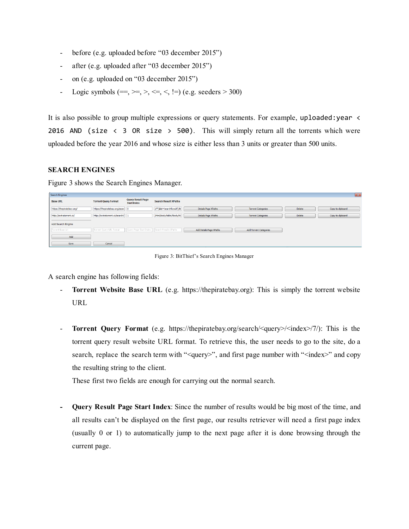- before (e.g. uploaded before "03 december 2015")
- after (e.g. uploaded after "03 december 2015")
- on (e.g. uploaded on "03 december 2015")
- Logic symbols (==, >=, >, <=, <, !=) (e.g. seeders > 300)

It is also possible to group multiple expressions or query statements. For example, uploaded: year < 2016 AND (size  $\langle$  3 OR size  $>$  500). This will simply return all the torrents which were uploaded before the year 2016 and whose size is either less than 3 units or greater than 500 units.

### SEARCH ENGINES

Figure 3 shows the Search Engines Manager.

| <b>Search Engines</b>     |                                  |                                                |                             |                         |                               |        | $\mathbf{z}$     |
|---------------------------|----------------------------------|------------------------------------------------|-----------------------------|-------------------------|-------------------------------|--------|------------------|
| <b>Base URL</b>           | <b>Torrent Query Format</b>      | <b>Query Result Page</b><br><b>Start Index</b> | <b>Search Result XPaths</b> |                         |                               |        |                  |
| https://thepiratebay.org/ | https://thepiratebay.org/searc 0 |                                                | //*[@id='searchResult']/tb  | Details Page XPaths     | <b>Torrent Categories</b>     | Delete | Copy to dipboard |
| http://extratorrent.cc/   | http://extratorrent.cc/search/   |                                                | /html/body/table/tbody/tr   | Details Page XPaths     | <b>Torrent Categories</b>     | Delete | Copy to dipboard |
| Add Search Engine         |                                  |                                                |                             |                         |                               |        |                  |
| Torrent Base Url          | Torrent Query URL format         | Query Page Start Index                         | Search Results XPaths       | Add Details Page XPaths | <b>Add Torrent Categories</b> |        |                  |
| Add                       |                                  |                                                |                             |                         |                               |        |                  |
| Save                      | Cancel                           |                                                |                             |                         |                               |        |                  |

Figure 3: BitThief's Search Engines Manager

A search engine has following fields:

- Torrent Website Base URL (e.g. https://thepiratebay.org): This is simply the torrent website URL
- Torrent Query Format (e.g. https://thepiratebay.org/search/<query>/<index>/7/): This is the torrent query result website URL format. To retrieve this, the user needs to go to the site, do a search, replace the search term with "<query>", and first page number with "<index>" and copy the resulting string to the client.

These first two fields are enough for carrying out the normal search.

 Query Result Page Start Index: Since the number of results would be big most of the time, and all results can't be displayed on the first page, our results retriever will need a first page index (usually 0 or 1) to automatically jump to the next page after it is done browsing through the current page.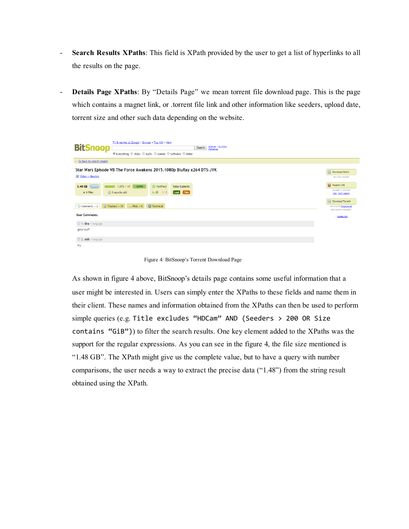- Search Results XPaths: This field is XPath provided by the user to get a list of hyperlinks to all the results on the page.
- Details Page XPaths: By "Details Page" we mean torrent file download page. This is the page which contains a magnet link, or .torrent file link and other information like seeders, upload date, torrent size and other such data depending on the website.

| TV & movies at Zoogle / Browse . Top 100 . New<br><b>BitSnoop</b><br>Advanced   My History<br>Search                                                          |                                                                       |
|---------------------------------------------------------------------------------------------------------------------------------------------------------------|-----------------------------------------------------------------------|
| . Everything O Video O Audio O Games O Software O Other                                                                                                       |                                                                       |
| ← Go back to search results                                                                                                                                   |                                                                       |
| Star Wars Episode VII The Force Awakens 2015.1080p BluRay x264 DTS-JYK<br>Video » Movies                                                                      | Download Direct<br>No client needed!                                  |
| 1,076/48<br>3.48 GB (6)<br><b>O</b> Verified<br>Update<br>Rate torrent:<br><b>CONTRACTOR</b><br>$25$ $93$<br>[ Legit ] [ Fake ]<br>in 6 files<br>5 months old | <b>RS</b> Magnet Link<br>Includes 71 trackers<br>Help, short Magnet   |
| $\boxed{3}$ Trackers - 71 $\boxed{2}$ Files - 6<br><b>O</b> Technical<br>$\circ$ Comments - 2                                                                 | Download Torrent<br>Mirrored @ Torcache.net<br>Add trackers manually! |
| <b>User Comments</b>                                                                                                                                          | -> Zoogle.com                                                         |
| $\heartsuit$ 1. tira - long ago                                                                                                                               |                                                                       |
| good stuff                                                                                                                                                    |                                                                       |
| $\heartsuit$ 2. add - long ago                                                                                                                                |                                                                       |
| try                                                                                                                                                           |                                                                       |

Figure 4: BitSnoop's Torrent Download Page

As shown in figure 4 above, BitSnoop's details page contains some useful information that a user might be interested in. Users can simply enter the XPaths to these fields and name them in their client. These names and information obtained from the XPaths can then be used to perform simple queries (e.g. Title excludes "HDCam" AND (Seeders > 200 OR Size contains "GiB")) to filter the search results. One key element added to the XPaths was the support for the regular expressions. As you can see in the figure 4, the file size mentioned is "1.48 GB". The XPath might give us the complete value, but to have a query with number comparisons, the user needs a way to extract the precise data ("1.48") from the string result obtained using the XPath.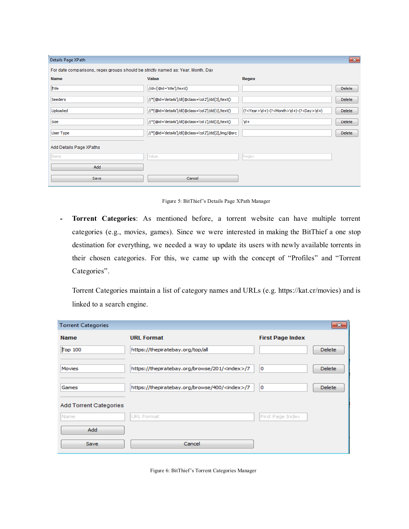| Details Page XPath                                                               |                                                     |                                                              | $\mathbf{x}$  |  |
|----------------------------------------------------------------------------------|-----------------------------------------------------|--------------------------------------------------------------|---------------|--|
| For date comparisons, regex groups should be strictly named as: Year, Month, Day |                                                     |                                                              |               |  |
| <b>Name</b>                                                                      | Value                                               | Regex                                                        |               |  |
| Title                                                                            | //div[@id='title']/text()                           |                                                              | <b>Delete</b> |  |
| Seeders                                                                          | //*[@id='details']/dl[@class='col2']/dd[3]/text()   |                                                              | Delete        |  |
| Uploaded                                                                         | //*[@id='details']/dl[@class='col2']/dd[1]/text()   | (? <year>\d+)-(?<month>\d+)-(?<day>\d+)</day></month></year> | <b>Delete</b> |  |
| Size                                                                             | //*[@id='details']/dl[@class='col1']/dd[3]/text()   | $\mathsf{d}$ +                                               | Delete        |  |
| User Type                                                                        | //*[@id='details']/dl[@class='col2']/dd[2]/img/@src |                                                              | <b>Delete</b> |  |
| Add Details Page XPaths                                                          |                                                     |                                                              |               |  |
| Name                                                                             | Value                                               | Regex                                                        |               |  |
| Add                                                                              |                                                     |                                                              |               |  |
| Save                                                                             | Cancel                                              |                                                              |               |  |

Figure 5: BitThief's Details Page XPath Manager

 Torrent Categories: As mentioned before, a torrent website can have multiple torrent categories (e.g., movies, games). Since we were interested in making the BitThief a one stop destination for everything, we needed a way to update its users with newly available torrents in their chosen categories. For this, we came up with the concept of "Profiles" and "Torrent Categories".

Torrent Categories maintain a list of category names and URLs (e.g. https://kat.cr/movies) and is linked to a search engine.

| <b>Torrent Categories</b>     |                                                        |                         | $\mathbf{x}$  |
|-------------------------------|--------------------------------------------------------|-------------------------|---------------|
| <b>Name</b>                   | <b>URL Format</b>                                      | <b>First Page Index</b> |               |
| Top 100                       | https://thepiratebay.org/top/all                       |                         | <b>Delete</b> |
| <b>Movies</b>                 | https://thepiratebay.org/browse/201/ <index>/7</index> | 0                       | <b>Delete</b> |
| Games                         | https://thepiratebay.org/browse/400/ <index>/7</index> | 0                       | <b>Delete</b> |
| <b>Add Torrent Categories</b> |                                                        |                         |               |
| Name                          | URL Format                                             | First Page Index        |               |
| Add                           |                                                        |                         |               |
| Save                          | Cancel                                                 |                         |               |

Figure 6: BitThief's Torrent Categories Manager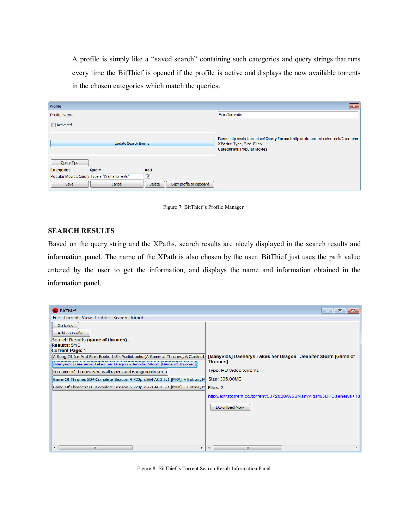A profile is simply like a "saved search" containing such categories and query strings that runs every time the BitThief is opened if the profile is active and displays the new available torrents in the chosen categories which match the queries.

| Profile                                       |                                            | $-x$                                                                                                                   |
|-----------------------------------------------|--------------------------------------------|------------------------------------------------------------------------------------------------------------------------|
| <b>Profile Name</b>                           |                                            | ExtraTorrentIs                                                                                                         |
| Activated                                     |                                            |                                                                                                                        |
| Update Search Engine                          |                                            | Base: http://extratorrent.cc/ Query Format: http://extratorrent.cc/search/?search=<br><b>XPaths: Type, Size, Files</b> |
|                                               |                                            | <b>Categories: Popular Movies</b>                                                                                      |
| Query Tips                                    |                                            |                                                                                                                        |
| Categories<br>Query                           | Add                                        |                                                                                                                        |
| Popular Movies Query Type is "Drama torrents" | $\overline{\mathbf{v}}$                    |                                                                                                                        |
| Cancel<br>Save                                | <b>Delete</b><br>Copy profile to clipboard |                                                                                                                        |

Figure 7: BitThief's Profile Manager

#### SEARCH RESULTS

Based on the query string and the XPaths, search results are nicely displayed in the search results and information panel. The name of the XPath is also chosen by the user. BitThief just uses the path value entered by the user to get the information, and displays the name and information obtained in the information panel.

| <b>BitThief</b>                                                                    | $-23$<br><u>a b</u><br>$\Box$                                      |
|------------------------------------------------------------------------------------|--------------------------------------------------------------------|
| File Torrent View Profiles Search About                                            |                                                                    |
| Go back                                                                            |                                                                    |
| Add as Profile                                                                     |                                                                    |
| Search Results (game of thrones)                                                   |                                                                    |
| Results: 5/10                                                                      |                                                                    |
| <b>Current Page: 1</b>                                                             |                                                                    |
| A Song Of Ice And Fire: Books 1-5 - Audiobooks (A Game of Thrones, A Clash of      | [ManyVids] Daenerys Takes her Dragon - Jennifer Storm [Game of     |
| [ManyVids] Daenerys Takes her Dragon - Jennifer Storm [Game of Thrones]            | <b>Thrones]</b>                                                    |
| 40 Game of Thrones Best Wallpapers and Backgrounds set 4                           | <b>Type: HD Video torrents</b>                                     |
| Game Of Thrones S04 Complete Season 4 720p x264 AC3 5.1 [MKV] + Extras, M          | Size: 306,00MB                                                     |
| Game Of Thrones S05 Complete Season 5 720p x264 AC3 5.1 [MKV] + Extras, M Files: 2 |                                                                    |
|                                                                                    | http://extratorrent.cc//torrent/5072020/%5BManyVids%5D+Daenerys+Ta |
|                                                                                    | Download Now                                                       |
|                                                                                    |                                                                    |
|                                                                                    |                                                                    |
|                                                                                    |                                                                    |
|                                                                                    |                                                                    |
| m.<br>∢<br>٠                                                                       | m<br>۰<br>∢                                                        |

Figure 8: BitThief's Torrent Search Result Information Panel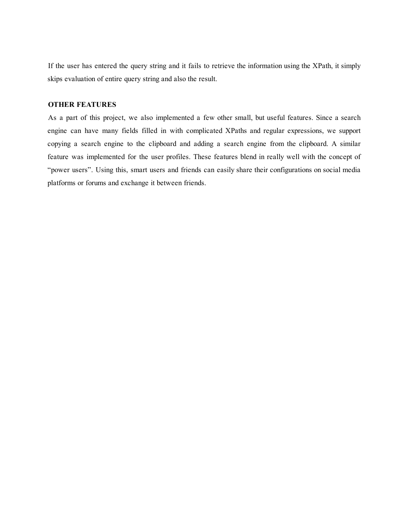If the user has entered the query string and it fails to retrieve the information using the XPath, it simply skips evaluation of entire query string and also the result.

#### OTHER FEATURES

As a part of this project, we also implemented a few other small, but useful features. Since a search engine can have many fields filled in with complicated XPaths and regular expressions, we support copying a search engine to the clipboard and adding a search engine from the clipboard. A similar feature was implemented for the user profiles. These features blend in really well with the concept of "power users". Using this, smart users and friends can easily share their configurations on social media platforms or forums and exchange it between friends.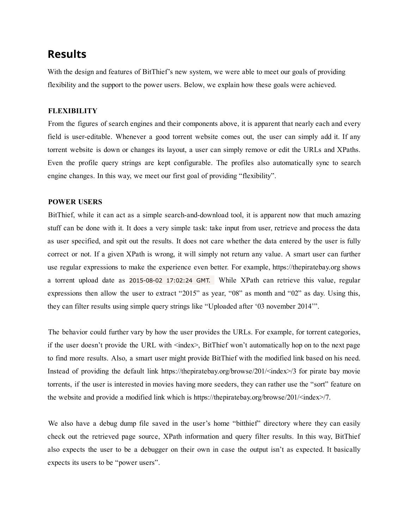## Results

With the design and features of BitThief's new system, we were able to meet our goals of providing flexibility and the support to the power users. Below, we explain how these goals were achieved.

### **FLEXIBILITY**

From the figures of search engines and their components above, it is apparent that nearly each and every field is usereditable. Whenever a good torrent website comes out, the user can simply add it. If any torrent website is down or changes its layout, a user can simply remove or edit the URLs and XPaths. Even the profile query strings are kept configurable. The profiles also automatically sync to search engine changes. In this way, we meet our first goal of providing "flexibility".

#### POWER USERS

BitThief, while it can act as a simple search-and-download tool, it is apparent now that much amazing stuff can be done with it. It does a very simple task: take input from user, retrieve and process the data as user specified, and spit out the results. It does not care whether the data entered by the user is fully correct or not. If a given XPath is wrong, it will simply not return any value. A smart user can further use regular expressions to make the experience even better. For example, https://thepiratebay.org shows a torrent upload date as 2015-08-02 17:02:24 GMT. While XPath can retrieve this value, regular expressions then allow the user to extract "2015" as year, "08" as month and "02" as day. Using this, they can filter results using simple query strings like "Uploaded after '03 november 2014'".

The behavior could further vary by how the user provides the URLs. For example, for torrent categories, if the user doesn't provide the URL with <index>, BitThief won't automatically hop on to the next page to find more results. Also, a smart user might provide BitThief with the modified link based on his need. Instead of providing the default link https://thepiratebay.org/browse/201/<index>/3 for pirate bay movie torrents, if the user is interested in movies having more seeders, they can rather use the "sort" feature on the website and provide a modified link which is https://thepiratebay.org/browse/201/<index>/7.

We also have a debug dump file saved in the user's home "bitthief" directory where they can easily check out the retrieved page source, XPath information and query filter results. In this way, BitThief also expects the user to be a debugger on their own in case the output isn't as expected. It basically expects its users to be "power users".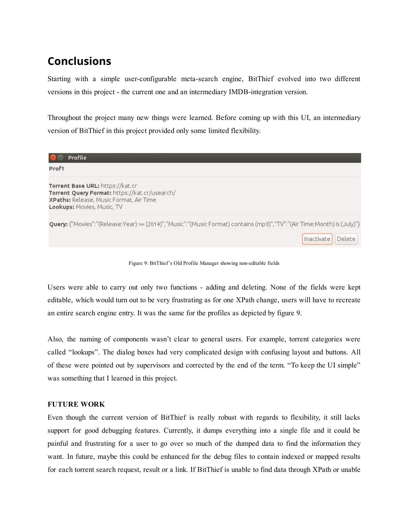# Conclusions

Starting with a simple user-configurable meta-search engine, BitThief evolved into two different versions in this project - the current one and an intermediary IMDB-integration version.

Throughout the project many new things were learned. Before coming up with this UI, an intermediary version of BitThief in this project provided only some limited flexibility.

| Profile                                                                                                                                                    |                      |
|------------------------------------------------------------------------------------------------------------------------------------------------------------|----------------------|
| Prof1                                                                                                                                                      |                      |
| Torrent Base URL: https://kat.cr<br>Torrent Query Format: https://kat.cr/usearch/<br>XPaths: Release, Music Format, Air Time<br>Lookups: Movies, Music, TV |                      |
| Query: {"Movies":"(Release:Year) >= (2014)","Music":"(Music Format) contains (mp3)","TV":"(Air Time:Month) is (July)"}                                     |                      |
|                                                                                                                                                            | Delete<br>Inactivate |

Figure 9: BitThief's Old Profile Manager showing noneditable fields

Users were able to carry out only two functions - adding and deleting. None of the fields were kept editable, which would turn out to be very frustrating as for one XPath change, users will have to recreate an entire search engine entry. It was the same for the profiles as depicted by figure 9.

Also, the naming of components wasn't clear to general users. For example, torrent categories were called "lookups". The dialog boxes had very complicated design with confusing layout and buttons. All of these were pointed out by supervisors and corrected by the end of the term. "To keep the UI simple" was something that I learned in this project.

### FUTURE WORK

Even though the current version of BitThief is really robust with regards to flexibility, it still lacks support for good debugging features. Currently, it dumps everything into a single file and it could be painful and frustrating for a user to go over so much of the dumped data to find the information they want. In future, maybe this could be enhanced for the debug files to contain indexed or mapped results for each torrent search request, result or a link. If BitThief is unable to find data through XPath or unable